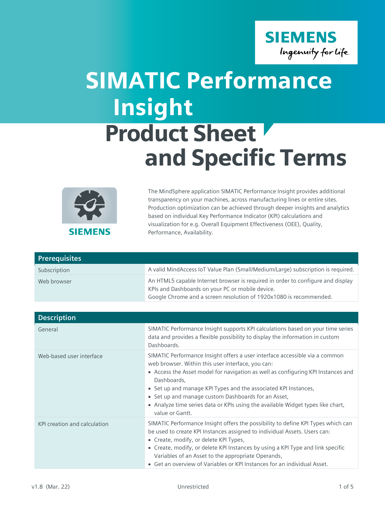

## SIMATIC Performance Product Sheet and Specific Terms Insight



The MindSphere application SIMATIC Performance Insight provides additional transparency on your machines, across manufacturing lines or entire sites. Production optimization can be achieved through deeper insights and analytics based on individual Key Performance Indicator (KPI) calculations and visualization for e.g. Overall Equipment Effectiveness (OEE), Quality, Performance, Availability.

| <b>Prerequisites</b> |                                                                                                                                                                                                           |
|----------------------|-----------------------------------------------------------------------------------------------------------------------------------------------------------------------------------------------------------|
| Subscription         | A valid MindAccess IoT Value Plan (Small/Medium/Large) subscription is required.                                                                                                                          |
| Web browser          | An HTML5 capable Internet browser is required in order to configure and display<br>KPIs and Dashboards on your PC or mobile device.<br>Google Chrome and a screen resolution of 1920x1080 is recommended. |

| <b>Description</b>           |                                                                                                                                                                                                                                                                                                                                                                                                                                                                     |
|------------------------------|---------------------------------------------------------------------------------------------------------------------------------------------------------------------------------------------------------------------------------------------------------------------------------------------------------------------------------------------------------------------------------------------------------------------------------------------------------------------|
| General                      | SIMATIC Performance Insight supports KPI calculations based on your time series<br>data and provides a flexible possibility to display the information in custom<br>Dashboards.                                                                                                                                                                                                                                                                                     |
| Web-based user interface     | SIMATIC Performance Insight offers a user interface accessible via a common<br>web browser. Within this user interface, you can:<br>• Access the Asset model for navigation as well as configuring KPI Instances and<br>Dashboards,<br>• Set up and manage KPI Types and the associated KPI Instances,<br>• Set up and manage custom Dashboards for an Asset,<br>• Analyze time series data or KPIs using the available Widget types like chart,<br>value or Gantt. |
| KPI creation and calculation | SIMATIC Performance Insight offers the possibility to define KPI Types which can<br>be used to create KPI Instances assigned to individual Assets. Users can:<br>• Create, modify, or delete KPI Types,<br>• Create, modify, or delete KPI Instances by using a KPI Type and link specific<br>Variables of an Asset to the appropriate Operands,<br>• Get an overview of Variables or KPI Instances for an individual Asset.                                        |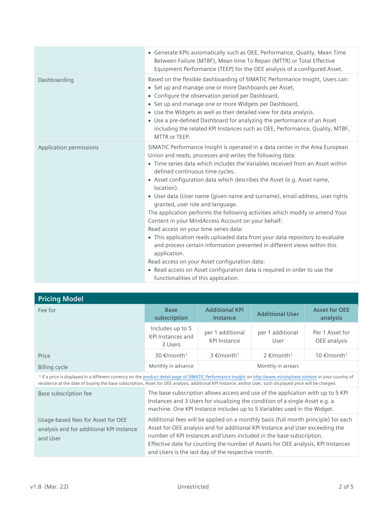|                         | • Generate KPIs automatically such as OEE, Performance, Quality, Mean Time<br>Between Failure (MTBF), Mean time To Repair (MTTR) or Total Effective<br>Equipment Performance (TEEP) for the OEE analysis of a configured Asset.                                                                                                                                                                                                                                                                                                                                                                                                                                                                                                                                                                                                                                                                                                                                                                            |
|-------------------------|------------------------------------------------------------------------------------------------------------------------------------------------------------------------------------------------------------------------------------------------------------------------------------------------------------------------------------------------------------------------------------------------------------------------------------------------------------------------------------------------------------------------------------------------------------------------------------------------------------------------------------------------------------------------------------------------------------------------------------------------------------------------------------------------------------------------------------------------------------------------------------------------------------------------------------------------------------------------------------------------------------|
| Dashboarding            | Based on the flexible dashboarding of SIMATIC Performance Insight, Users can:<br>• Set up and manage one or more Dashboards per Asset,<br>• Configure the observation period per Dashboard,<br>• Set up and manage one or more Widgets per Dashboard,<br>• Use the Widgets as well as their detailed view for data analysis.<br>• Use a pre-defined Dashboard for analyzing the performance of an Asset<br>including the related KPI Instances such as OEE, Performance, Quality, MTBF,<br>MTTR or TEEP.                                                                                                                                                                                                                                                                                                                                                                                                                                                                                                   |
| Application permissions | SIMATIC Performance Insight is operated in a data center in the Area European<br>Union and reads, processes and writes the following data:<br>• Time series data which includes the Variables received from an Asset within<br>defined continuous time cycles.<br>• Asset configuration data which describes the Asset (e.g. Asset name,<br>location).<br>• User data (User name (given name and surname), email address, user rights<br>granted, user role and language.<br>The application performs the following activities which modify or amend Your<br>Content in your MindAccess Account on your behalf:<br>Read access on your time series data:<br>• This application reads uploaded data from your data repository to evaluate<br>and process certain information presented in different views within this<br>application.<br>Read access on your Asset configuration data:<br>• Read access on Asset configuration data is required in order to use the<br>functionalities of this application. |

| <b>Pricing Model</b>                                                                                                                                                                                                                                                                                                                       |                                                                                                                                                                                                                                                                                                                                                                                       |                                          |                             |                                  |
|--------------------------------------------------------------------------------------------------------------------------------------------------------------------------------------------------------------------------------------------------------------------------------------------------------------------------------------------|---------------------------------------------------------------------------------------------------------------------------------------------------------------------------------------------------------------------------------------------------------------------------------------------------------------------------------------------------------------------------------------|------------------------------------------|-----------------------------|----------------------------------|
| Fee for                                                                                                                                                                                                                                                                                                                                    | <b>Base</b><br>subscription                                                                                                                                                                                                                                                                                                                                                           | <b>Additional KPI</b><br><b>Instance</b> | <b>Additional User</b>      | <b>Asset for OEE</b><br>analysis |
|                                                                                                                                                                                                                                                                                                                                            | Includes up to 5<br><b>KPI Instances and</b><br>3 Users                                                                                                                                                                                                                                                                                                                               | per 1 additional<br><b>KPI Instance</b>  | per 1 additional<br>User    | Per 1 Asset for<br>OEE analysis  |
| Price                                                                                                                                                                                                                                                                                                                                      | 30 €/month <sup>1</sup>                                                                                                                                                                                                                                                                                                                                                               | 3 €/month <sup>1</sup>                   | $2 \in$ /month <sup>1</sup> | 10 €/month <sup>1</sup>          |
| Billing cycle                                                                                                                                                                                                                                                                                                                              | Monthly in advance                                                                                                                                                                                                                                                                                                                                                                    |                                          | Monthly in arrears          |                                  |
| <sup>1)</sup> If a price is displayed in a different currency on the product detail page of SIMATIC Performance Insight on http://www.mindsphere.io/store in your country of<br>residence at the date of buying the base subscription, Asset for OEE analysis, additional KPI Instance, and/or User, such displayed price will be charged. |                                                                                                                                                                                                                                                                                                                                                                                       |                                          |                             |                                  |
| Base subscription fee                                                                                                                                                                                                                                                                                                                      | The base subscription allows access and use of the application with up to 5 KPI<br>Instances and 3 Users for visualizing the condition of a single Asset e.g. a<br>machine. One KPI Instance includes up to 5 Variables used in the Widget.                                                                                                                                           |                                          |                             |                                  |
| Usage-based fees for Asset for OEE<br>analysis and for additional KPI Instance<br>and User                                                                                                                                                                                                                                                 | Additional fees will be applied on a monthly basis (full month principle) for each<br>Asset for OEE analysis and for additional KPI Instance and User exceeding the<br>number of KPI Instances and Users included in the base subscription.<br>Effective date for counting the number of Assets for OEE analysis, KPI Instances<br>and Users is the last day of the respective month. |                                          |                             |                                  |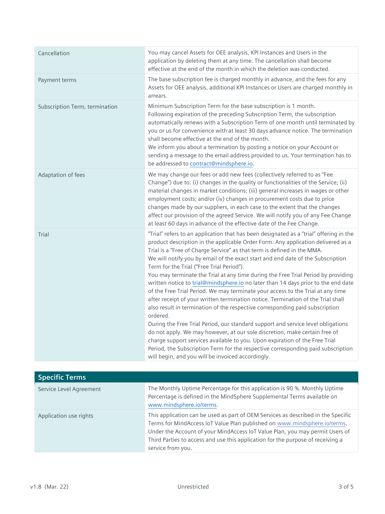| Cancellation                   | You may cancel Assets for OEE analysis, KPI Instances and Users in the<br>application by deleting them at any time. The cancellation shall become<br>effective at the end of the month in which the deletion was conducted.                                                                                                                                                                                                                                                                                                                                                                                                                                                                                                                                                                                                                                                                                                                                                                                                                                                                                                                                                                                                  |
|--------------------------------|------------------------------------------------------------------------------------------------------------------------------------------------------------------------------------------------------------------------------------------------------------------------------------------------------------------------------------------------------------------------------------------------------------------------------------------------------------------------------------------------------------------------------------------------------------------------------------------------------------------------------------------------------------------------------------------------------------------------------------------------------------------------------------------------------------------------------------------------------------------------------------------------------------------------------------------------------------------------------------------------------------------------------------------------------------------------------------------------------------------------------------------------------------------------------------------------------------------------------|
| Payment terms                  | The base subscription fee is charged monthly in advance, and the fees for any<br>Assets for OEE analysis, additional KPI Instances or Users are charged monthly in<br>arrears.                                                                                                                                                                                                                                                                                                                                                                                                                                                                                                                                                                                                                                                                                                                                                                                                                                                                                                                                                                                                                                               |
| Subscription Term, termination | Minimum Subscription Term for the base subscription is 1 month.<br>Following expiration of the preceding Subscription Term, the subscription<br>automatically renews with a Subscription Term of one month until terminated by<br>you or us for convenience with at least 30 days advance notice. The termination<br>shall become effective at the end of the month.<br>We inform you about a termination by posting a notice on your Account or<br>sending a message to the email address provided to us. Your termination has to<br>be addressed to contract@mindsphere.io.                                                                                                                                                                                                                                                                                                                                                                                                                                                                                                                                                                                                                                                |
| Adaptation of fees             | We may change our fees or add new fees (collectively referred to as "Fee<br>Change") due to: (i) changes in the quality or functionalities of the Service; (ii)<br>material changes in market conditions; (iii) general increases in wages or other<br>employment costs; and/or (iv) changes in procurement costs due to price<br>changes made by our suppliers, in each case to the extent that the changes<br>affect our provision of the agreed Service. We will notify you of any Fee Change<br>at least 60 days in advance of the effective date of the Fee Change.                                                                                                                                                                                                                                                                                                                                                                                                                                                                                                                                                                                                                                                     |
| Trial                          | "Trial" refers to an application that has been designated as a "trial" offering in the<br>product description in the applicable Order Form. Any application delivered as a<br>Trial is a "Free of Charge Service" as that term is defined in the MMA.<br>We will notify you by email of the exact start and end date of the Subscription<br>Term for the Trial ("Free Trial Period").<br>You may terminate the Trial at any time during the Free Trial Period by providing<br>written notice to trial@mindsphere.io no later than 14 days prior to the end date<br>of the Free Trial Period. We may terminate your access to the Trial at any time<br>after receipt of your written termination notice. Termination of the Trial shall<br>also result in termination of the respective corresponding paid subscription<br>ordered.<br>During the Free Trial Period, our standard support and service level obligations<br>do not apply. We may however, at our sole discretion, make certain free of<br>charge support services available to you. Upon expiration of the Free Trial<br>Period, the Subscription Term for the respective corresponding paid subscription<br>will begin, and you will be invoiced accordingly. |

| <b>Specific Terms</b>   |                                                                                                                                                                                                                                                                                                                                                        |
|-------------------------|--------------------------------------------------------------------------------------------------------------------------------------------------------------------------------------------------------------------------------------------------------------------------------------------------------------------------------------------------------|
| Service Level Agreement | The Monthly Uptime Percentage for this application is 90 %. Monthly Uptime<br>Percentage is defined in the MindSphere Supplemental Terms available on<br>www.mindsphere.io/terms.                                                                                                                                                                      |
| Application use rights  | This application can be used as part of OEM Services as described in the Specific<br>Terms for MindAccess IoT Value Plan published on www.mindsphere.io/terms.<br>Under the Account of your MindAccess IoT Value Plan, you may permit Users of<br>Third Parties to access and use this application for the purpose of receiving a<br>service from you. |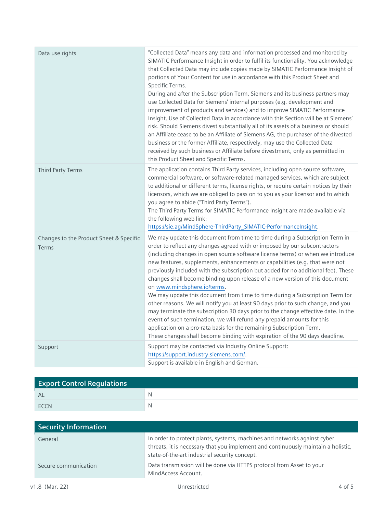| Data use rights                                  | "Collected Data" means any data and information processed and monitored by<br>SIMATIC Performance Insight in order to fulfil its functionality. You acknowledge<br>that Collected Data may include copies made by SIMATIC Performance Insight of<br>portions of Your Content for use in accordance with this Product Sheet and<br>Specific Terms.<br>During and after the Subscription Term, Siemens and its business partners may<br>use Collected Data for Siemens' internal purposes (e.g. development and<br>improvement of products and services) and to improve SIMATIC Performance<br>Insight. Use of Collected Data in accordance with this Section will be at Siemens'<br>risk. Should Siemens divest substantially all of its assets of a business or should<br>an Affiliate cease to be an Affiliate of Siemens AG, the purchaser of the divested<br>business or the former Affiliate, respectively, may use the Collected Data<br>received by such business or Affiliate before divestment, only as permitted in<br>this Product Sheet and Specific Terms. |
|--------------------------------------------------|------------------------------------------------------------------------------------------------------------------------------------------------------------------------------------------------------------------------------------------------------------------------------------------------------------------------------------------------------------------------------------------------------------------------------------------------------------------------------------------------------------------------------------------------------------------------------------------------------------------------------------------------------------------------------------------------------------------------------------------------------------------------------------------------------------------------------------------------------------------------------------------------------------------------------------------------------------------------------------------------------------------------------------------------------------------------|
| Third Party Terms                                | The application contains Third Party services, including open source software,<br>commercial software, or software-related managed services, which are subject<br>to additional or different terms, license rights, or require certain notices by their<br>licensors, which we are obliged to pass on to you as your licensor and to which<br>you agree to abide ("Third Party Terms").<br>The Third Party Terms for SIMATIC Performance Insight are made available via<br>the following web link:<br>https://sie.ag/MindSphere-ThirdParty_SIMATIC-PerformanceInsight.                                                                                                                                                                                                                                                                                                                                                                                                                                                                                                 |
| Changes to the Product Sheet & Specific<br>Terms | We may update this document from time to time during a Subscription Term in<br>order to reflect any changes agreed with or imposed by our subcontractors<br>(including changes in open source software license terms) or when we introduce<br>new features, supplements, enhancements or capabilities (e.g. that were not<br>previously included with the subscription but added for no additional fee). These<br>changes shall become binding upon release of a new version of this document<br>on www.mindsphere.io/terms.<br>We may update this document from time to time during a Subscription Term for<br>other reasons. We will notify you at least 90 days prior to such change, and you<br>may terminate the subscription 30 days prior to the change effective date. In the<br>event of such termination, we will refund any prepaid amounts for this<br>application on a pro-rata basis for the remaining Subscription Term.<br>These changes shall become binding with expiration of the 90 days deadline.                                                 |
| Support                                          | Support may be contacted via Industry Online Support:<br>https://support.industry.siemens.com/.<br>Support is available in English and German.                                                                                                                                                                                                                                                                                                                                                                                                                                                                                                                                                                                                                                                                                                                                                                                                                                                                                                                         |

| <b>Export Control Regulations</b> |  |
|-----------------------------------|--|
| AL                                |  |
| <b>FCCN</b>                       |  |

| Security Information |                                                                                                                                                                                                                |
|----------------------|----------------------------------------------------------------------------------------------------------------------------------------------------------------------------------------------------------------|
| General              | In order to protect plants, systems, machines and networks against cyber<br>threats, it is necessary that you implement and continuously maintain a holistic,<br>state-of-the-art industrial security concept. |
| Secure communication | Data transmission will be done via HTTPS protocol from Asset to your<br>MindAccess Account.                                                                                                                    |